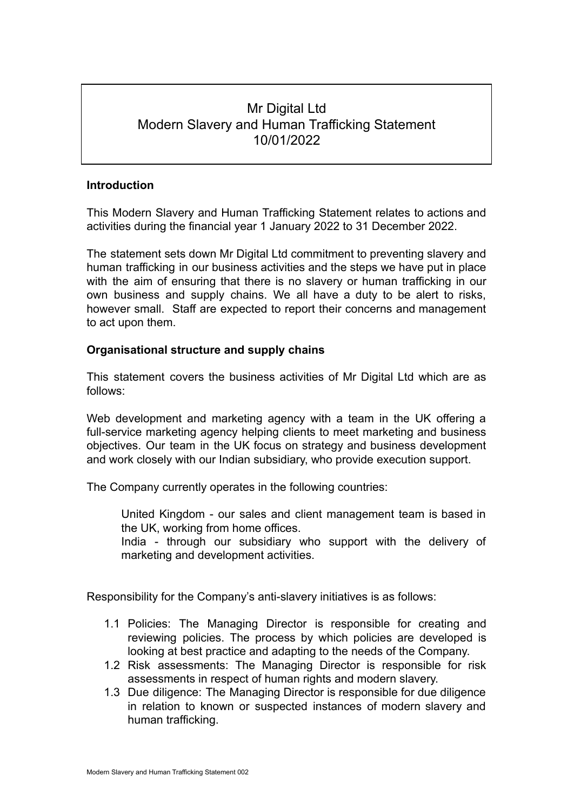# Mr Digital Ltd Modern Slavery and Human Trafficking Statement 10/01/2022

### **Introduction**

This Modern Slavery and Human Trafficking Statement relates to actions and activities during the financial year 1 January 2022 to 31 December 2022.

The statement sets down Mr Digital Ltd commitment to preventing slavery and human trafficking in our business activities and the steps we have put in place with the aim of ensuring that there is no slavery or human trafficking in our own business and supply chains. We all have a duty to be alert to risks, however small. Staff are expected to report their concerns and management to act upon them.

## **Organisational structure and supply chains**

This statement covers the business activities of Mr Digital Ltd which are as follows:

Web development and marketing agency with a team in the UK offering a full-service marketing agency helping clients to meet marketing and business objectives. Our team in the UK focus on strategy and business development and work closely with our Indian subsidiary, who provide execution support.

The Company currently operates in the following countries:

United Kingdom - our sales and client management team is based in the UK, working from home offices.

India - through our subsidiary who support with the delivery of marketing and development activities.

Responsibility for the Company's anti-slavery initiatives is as follows:

- 1.1 Policies: The Managing Director is responsible for creating and reviewing policies. The process by which policies are developed is looking at best practice and adapting to the needs of the Company.
- 1.2 Risk assessments: The Managing Director is responsible for risk assessments in respect of human rights and modern slavery.
- 1.3 Due diligence: The Managing Director is responsible for due diligence in relation to known or suspected instances of modern slavery and human trafficking.